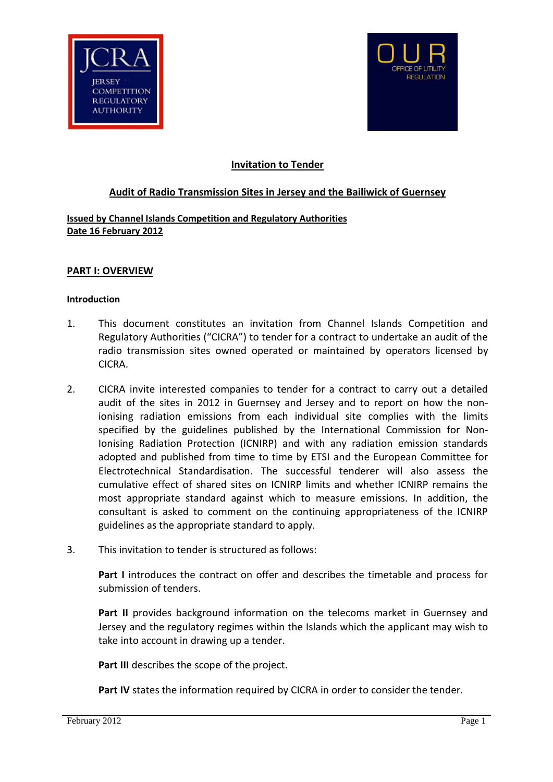



# **Invitation to Tender**

## **Audit of Radio Transmission Sites in Jersey and the Bailiwick of Guernsey**

## **Issued by Channel Islands Competition and Regulatory Authorities Date 16 February 2012**

### **PART I: OVERVIEW**

#### **Introduction**

- 1. This document constitutes an invitation from Channel Islands Competition and Regulatory Authorities ("CICRA") to tender for a contract to undertake an audit of the radio transmission sites owned operated or maintained by operators licensed by CICRA.
- 2. CICRA invite interested companies to tender for a contract to carry out a detailed audit of the sites in 2012 in Guernsey and Jersey and to report on how the nonionising radiation emissions from each individual site complies with the limits specified by the guidelines published by the International Commission for Non-Ionising Radiation Protection (ICNIRP) and with any radiation emission standards adopted and published from time to time by ETSI and the European Committee for Electrotechnical Standardisation. The successful tenderer will also assess the cumulative effect of shared sites on ICNIRP limits and whether ICNIRP remains the most appropriate standard against which to measure emissions. In addition, the consultant is asked to comment on the continuing appropriateness of the ICNIRP guidelines as the appropriate standard to apply.
- 3. This invitation to tender is structured as follows:

**Part I** introduces the contract on offer and describes the timetable and process for submission of tenders.

**Part II** provides background information on the telecoms market in Guernsey and Jersey and the regulatory regimes within the Islands which the applicant may wish to take into account in drawing up a tender.

**Part III** describes the scope of the project.

**Part IV** states the information required by CICRA in order to consider the tender.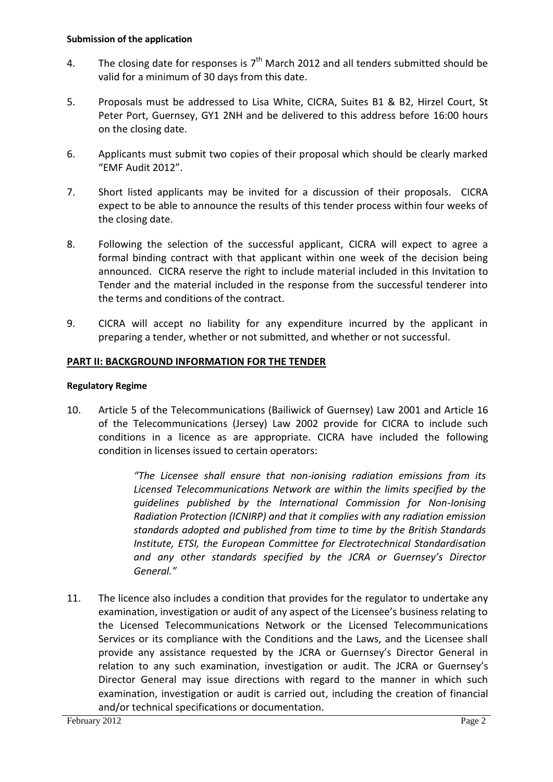- 4. The closing date for responses is  $7<sup>th</sup>$  March 2012 and all tenders submitted should be valid for a minimum of 30 days from this date.
- 5. Proposals must be addressed to Lisa White, CICRA, Suites B1 & B2, Hirzel Court, St Peter Port, Guernsey, GY1 2NH and be delivered to this address before 16:00 hours on the closing date.
- 6. Applicants must submit two copies of their proposal which should be clearly marked "EMF Audit 2012".
- 7. Short listed applicants may be invited for a discussion of their proposals. CICRA expect to be able to announce the results of this tender process within four weeks of the closing date.
- 8. Following the selection of the successful applicant, CICRA will expect to agree a formal binding contract with that applicant within one week of the decision being announced. CICRA reserve the right to include material included in this Invitation to Tender and the material included in the response from the successful tenderer into the terms and conditions of the contract.
- 9. CICRA will accept no liability for any expenditure incurred by the applicant in preparing a tender, whether or not submitted, and whether or not successful.

# **PART II: BACKGROUND INFORMATION FOR THE TENDER**

# **Regulatory Regime**

10. Article 5 of the Telecommunications (Bailiwick of Guernsey) Law 2001 and Article 16 of the Telecommunications (Jersey) Law 2002 provide for CICRA to include such conditions in a licence as are appropriate. CICRA have included the following condition in licenses issued to certain operators:

> *"The Licensee shall ensure that non-ionising radiation emissions from its Licensed Telecommunications Network are within the limits specified by the guidelines published by the International Commission for Non-Ionising Radiation Protection (ICNIRP) and that it complies with any radiation emission standards adopted and published from time to time by the British Standards Institute, ETSI, the European Committee for Electrotechnical Standardisation and any other standards specified by the JCRA or Guernsey's Director General."*

11. The licence also includes a condition that provides for the regulator to undertake any examination, investigation or audit of any aspect of the Licensee's business relating to the Licensed Telecommunications Network or the Licensed Telecommunications Services or its compliance with the Conditions and the Laws, and the Licensee shall provide any assistance requested by the JCRA or Guernsey's Director General in relation to any such examination, investigation or audit. The JCRA or Guernsey's Director General may issue directions with regard to the manner in which such examination, investigation or audit is carried out, including the creation of financial and/or technical specifications or documentation.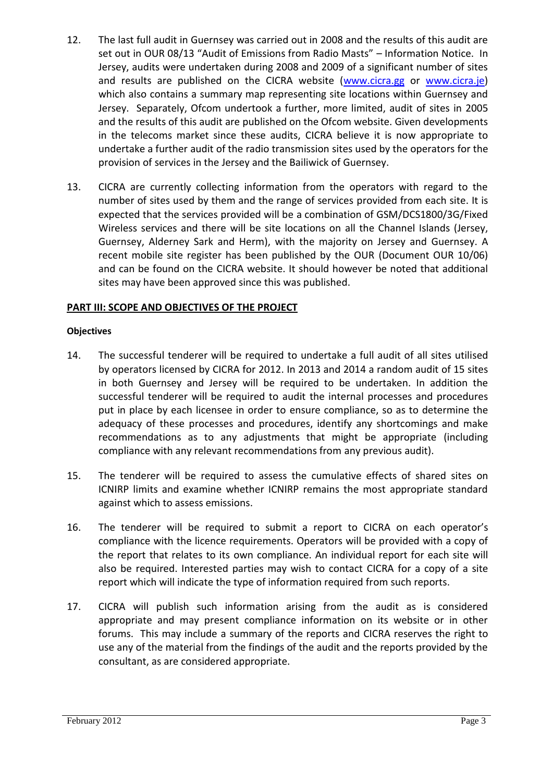- 12. The last full audit in Guernsey was carried out in 2008 and the results of this audit are set out in OUR 08/13 "Audit of Emissions from Radio Masts" – Information Notice. In Jersey, audits were undertaken during 2008 and 2009 of a significant number of sites and results are published on the CICRA website [\(www.cicra.gg](http://www.cicra.gg/) or [www.cicra.je\)](http://www.cicra.je/) which also contains a summary map representing site locations within Guernsey and Jersey. Separately, Ofcom undertook a further, more limited, audit of sites in 2005 and the results of this audit are published on the Ofcom website. Given developments in the telecoms market since these audits, CICRA believe it is now appropriate to undertake a further audit of the radio transmission sites used by the operators for the provision of services in the Jersey and the Bailiwick of Guernsey.
- 13. CICRA are currently collecting information from the operators with regard to the number of sites used by them and the range of services provided from each site. It is expected that the services provided will be a combination of GSM/DCS1800/3G/Fixed Wireless services and there will be site locations on all the Channel Islands (Jersey, Guernsey, Alderney Sark and Herm), with the majority on Jersey and Guernsey. A recent mobile site register has been published by the OUR (Document OUR 10/06) and can be found on the CICRA website. It should however be noted that additional sites may have been approved since this was published.

# **PART III: SCOPE AND OBJECTIVES OF THE PROJECT**

## **Objectives**

- 14. The successful tenderer will be required to undertake a full audit of all sites utilised by operators licensed by CICRA for 2012. In 2013 and 2014 a random audit of 15 sites in both Guernsey and Jersey will be required to be undertaken. In addition the successful tenderer will be required to audit the internal processes and procedures put in place by each licensee in order to ensure compliance, so as to determine the adequacy of these processes and procedures, identify any shortcomings and make recommendations as to any adjustments that might be appropriate (including compliance with any relevant recommendations from any previous audit).
- 15. The tenderer will be required to assess the cumulative effects of shared sites on ICNIRP limits and examine whether ICNIRP remains the most appropriate standard against which to assess emissions.
- 16. The tenderer will be required to submit a report to CICRA on each operator's compliance with the licence requirements. Operators will be provided with a copy of the report that relates to its own compliance. An individual report for each site will also be required. Interested parties may wish to contact CICRA for a copy of a site report which will indicate the type of information required from such reports.
- 17. CICRA will publish such information arising from the audit as is considered appropriate and may present compliance information on its website or in other forums. This may include a summary of the reports and CICRA reserves the right to use any of the material from the findings of the audit and the reports provided by the consultant, as are considered appropriate.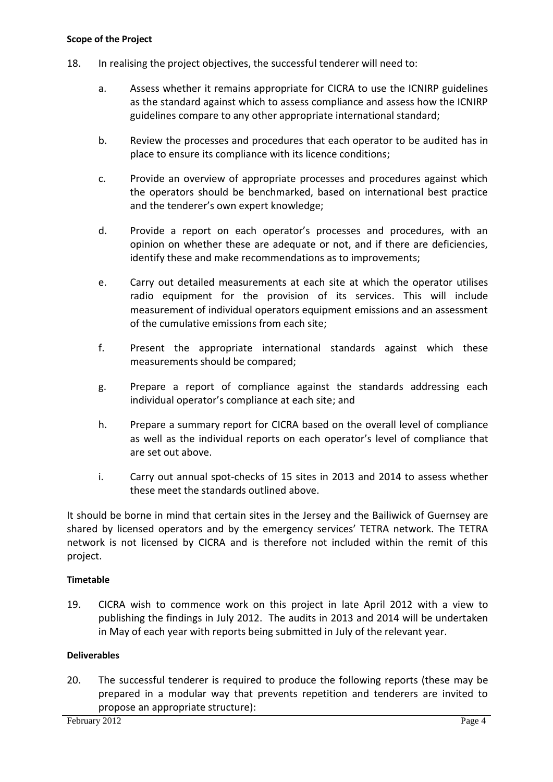#### **Scope of the Project**

- 18. In realising the project objectives, the successful tenderer will need to:
	- a. Assess whether it remains appropriate for CICRA to use the ICNIRP guidelines as the standard against which to assess compliance and assess how the ICNIRP guidelines compare to any other appropriate international standard;
	- b. Review the processes and procedures that each operator to be audited has in place to ensure its compliance with its licence conditions;
	- c. Provide an overview of appropriate processes and procedures against which the operators should be benchmarked, based on international best practice and the tenderer's own expert knowledge;
	- d. Provide a report on each operator's processes and procedures, with an opinion on whether these are adequate or not, and if there are deficiencies, identify these and make recommendations as to improvements;
	- e. Carry out detailed measurements at each site at which the operator utilises radio equipment for the provision of its services. This will include measurement of individual operators equipment emissions and an assessment of the cumulative emissions from each site;
	- f. Present the appropriate international standards against which these measurements should be compared;
	- g. Prepare a report of compliance against the standards addressing each individual operator's compliance at each site; and
	- h. Prepare a summary report for CICRA based on the overall level of compliance as well as the individual reports on each operator's level of compliance that are set out above.
	- i. Carry out annual spot-checks of 15 sites in 2013 and 2014 to assess whether these meet the standards outlined above.

It should be borne in mind that certain sites in the Jersey and the Bailiwick of Guernsey are shared by licensed operators and by the emergency services' TETRA network. The TETRA network is not licensed by CICRA and is therefore not included within the remit of this project.

# **Timetable**

19. CICRA wish to commence work on this project in late April 2012 with a view to publishing the findings in July 2012. The audits in 2013 and 2014 will be undertaken in May of each year with reports being submitted in July of the relevant year.

### **Deliverables**

20. The successful tenderer is required to produce the following reports (these may be prepared in a modular way that prevents repetition and tenderers are invited to propose an appropriate structure):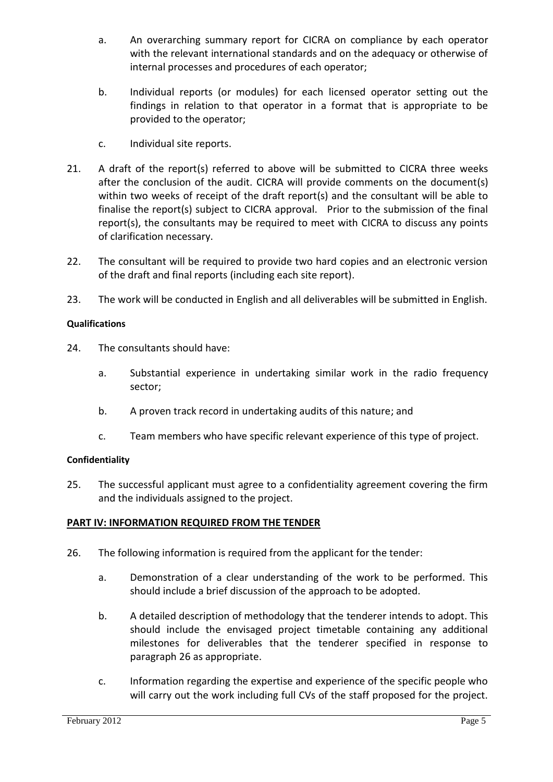- a. An overarching summary report for CICRA on compliance by each operator with the relevant international standards and on the adequacy or otherwise of internal processes and procedures of each operator;
- b. Individual reports (or modules) for each licensed operator setting out the findings in relation to that operator in a format that is appropriate to be provided to the operator;
- c. Individual site reports.
- 21. A draft of the report(s) referred to above will be submitted to CICRA three weeks after the conclusion of the audit. CICRA will provide comments on the document(s) within two weeks of receipt of the draft report(s) and the consultant will be able to finalise the report(s) subject to CICRA approval. Prior to the submission of the final report(s), the consultants may be required to meet with CICRA to discuss any points of clarification necessary.
- 22. The consultant will be required to provide two hard copies and an electronic version of the draft and final reports (including each site report).
- 23. The work will be conducted in English and all deliverables will be submitted in English.

## **Qualifications**

- 24. The consultants should have:
	- a. Substantial experience in undertaking similar work in the radio frequency sector;
	- b. A proven track record in undertaking audits of this nature; and
	- c. Team members who have specific relevant experience of this type of project.

### **Confidentiality**

25. The successful applicant must agree to a confidentiality agreement covering the firm and the individuals assigned to the project.

# **PART IV: INFORMATION REQUIRED FROM THE TENDER**

- 26. The following information is required from the applicant for the tender:
	- a. Demonstration of a clear understanding of the work to be performed. This should include a brief discussion of the approach to be adopted.
	- b. A detailed description of methodology that the tenderer intends to adopt. This should include the envisaged project timetable containing any additional milestones for deliverables that the tenderer specified in response to paragraph 26 as appropriate.
	- c. Information regarding the expertise and experience of the specific people who will carry out the work including full CVs of the staff proposed for the project.